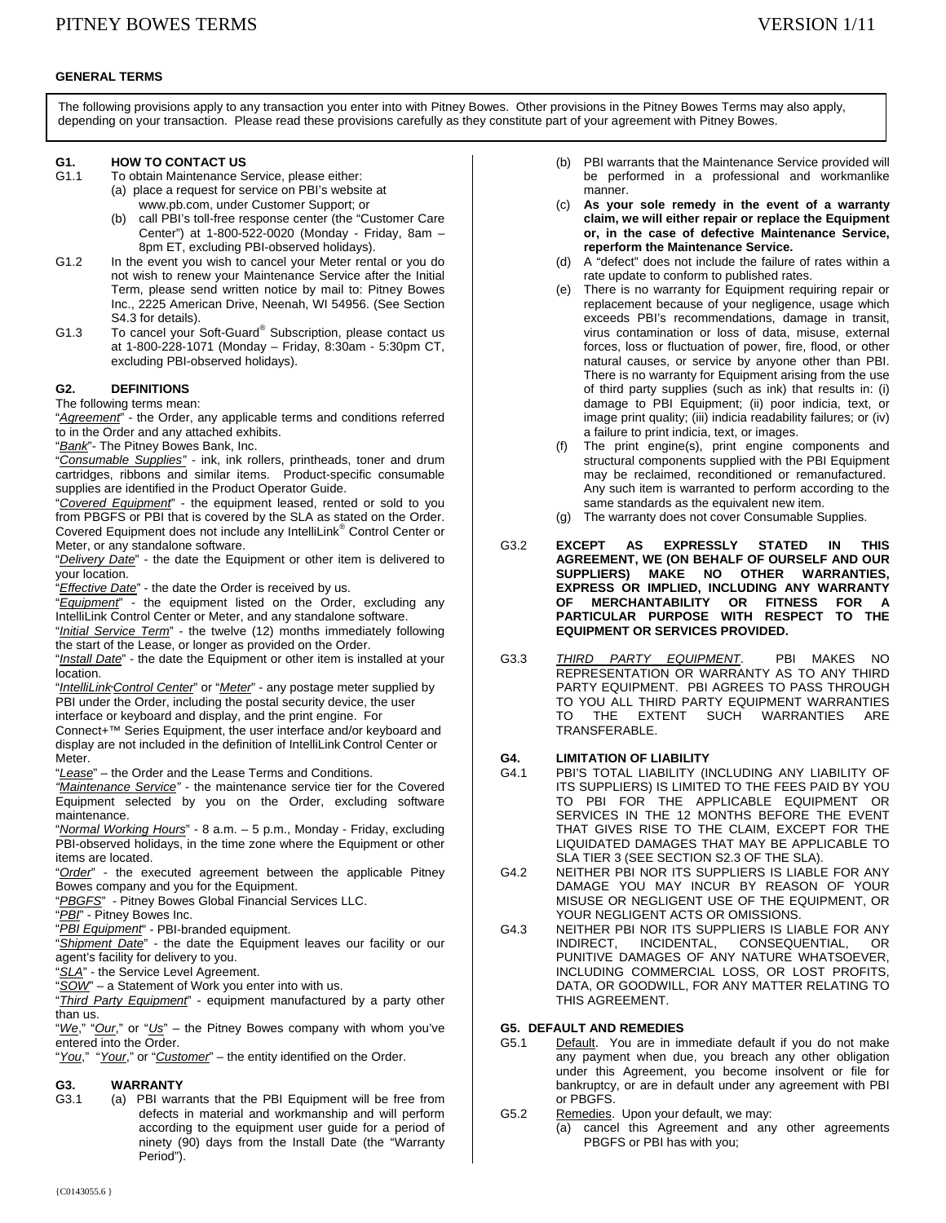### **GENERAL TERMS**

The following provisions apply to any transaction you enter into with Pitney Bowes. Other provisions in the Pitney Bowes Terms may also apply, depending on your transaction. Please read these provisions carefully as they constitute part of your agreement with Pitney Bowes.

# **G1. HOW TO CONTACT US**<br>G1.1 To obtain Maintenance S

- To obtain Maintenance Service, please either: (a) place a request for service on PBI's website at www.pb.com, under Customer Support; or
	- (b) call PBI's toll-free response center (the "Customer Care Center") at 1-800-522-0020 (Monday - Friday, 8am – 8pm ET, excluding PBI-observed holidays).
- G1.2 In the event you wish to cancel your Meter rental or you do not wish to renew your Maintenance Service after the Initial Term, please send written notice by mail to: Pitney Bowes Inc., 2225 American Drive, Neenah, WI 54956. (See Section S4.3 for details).
- G1.3 To cancel your Soft-Guard<sup>®</sup> Subscription, please contact us at 1-800-228-1071 (Monday – Friday, 8:30am - 5:30pm CT, excluding PBI-observed holidays).

### **G2. DEFINITIONS**

The following terms mean:

"*Agreement*" - the Order, any applicable terms and conditions referred to in the Order and any attached exhibits.

"*Bank*"- The Pitney Bowes Bank, Inc.

"*Consumable Supplies"* - ink, ink rollers, printheads, toner and drum cartridges, ribbons and similar items. Product-specific consumable supplies are identified in the Product Operator Guide.

"*Covered Equipment*" - the equipment leased, rented or sold to you from PBGFS or PBI that is covered by the SLA as stated on the Order. Covered Equipment does not include any IntelliLink® Control Center or Meter, or any standalone software.

"*Delivery Date*" - the date the Equipment or other item is delivered to your location.

"*Effective Date*" - the date the Order is received by us.

"*Equipment*" - the equipment listed on the Order, excluding any IntelliLink Control Center or Meter, and any standalone software.

"*Initial Service Term*" - the twelve (12) months immediately following the start of the Lease, or longer as provided on the Order.

"*Install Date*" - the date the Equipment or other item is installed at your location.

"*IntelliLink Control Center*" or "*Meter*" - any postage meter supplied by PBI under the Order, including the postal security device, the user interface or keyboard and display, and the print engine. For

Connect+™ Series Equipment, the user interface and/or keyboard and display are not included in the definition of IntelliLink Control Center or Meter.

"*Lease*" – the Order and the Lease Terms and Conditions.

*"Maintenance Service"* - the maintenance service tier for the Covered Equipment selected by you on the Order, excluding software maintenance.

"*Normal Working Hours*" - 8 a.m. – 5 p.m., Monday - Friday, excluding PBI-observed holidays, in the time zone where the Equipment or other items are located.

"*Order*" - the executed agreement between the applicable Pitney Bowes company and you for the Equipment.

"*PBGFS*" - Pitney Bowes Global Financial Services LLC.

"*PBI*" - Pitney Bowes Inc.

"*PBI Equipment*" - PBI-branded equipment.

"*Shipment Date*" - the date the Equipment leaves our facility or our agent's facility for delivery to you.

"*SLA*" - the Service Level Agreement.

"*SOW*" – a Statement of Work you enter into with us.

"*Third Party Equipment*" - equipment manufactured by a party other than us.

"*We*," "*Our*," or "*Us*" – the Pitney Bowes company with whom you've entered into the Order.

"*You*," "*Your*," or "*Customer*" – the entity identified on the Order.

## **G3. WARRANTY**

G3.1 (a) PBI warrants that the PBI Equipment will be free from defects in material and workmanship and will perform according to the equipment user guide for a period of ninety (90) days from the Install Date (the "Warranty Period").

- (b) PBI warrants that the Maintenance Service provided will be performed in a professional and workmanlike manner.
- (c) **As your sole remedy in the event of a warranty claim, we will either repair or replace the Equipment or, in the case of defective Maintenance Service, reperform the Maintenance Service.**
- (d) A "defect" does not include the failure of rates within a rate update to conform to published rates.
- (e) There is no warranty for Equipment requiring repair or replacement because of your negligence, usage which exceeds PBI's recommendations, damage in transit, virus contamination or loss of data, misuse, external forces, loss or fluctuation of power, fire, flood, or other natural causes, or service by anyone other than PBI. There is no warranty for Equipment arising from the use of third party supplies (such as ink) that results in: (i) damage to PBI Equipment; (ii) poor indicia, text, or image print quality; (iii) indicia readability failures; or (iv) a failure to print indicia, text, or images.
- (f) The print engine(s), print engine components and structural components supplied with the PBI Equipment may be reclaimed, reconditioned or remanufactured. Any such item is warranted to perform according to the same standards as the equivalent new item.
- (g) The warranty does not cover Consumable Supplies.
- G3.2 **EXCEPT AS EXPRESSLY STATED IN THIS AGREEMENT, WE (ON BEHALF OF OURSELF AND OUR SUPPLIERS) MAKE NO OTHER WARRANTIES, EXPRESS OR IMPLIED, INCLUDING ANY WARRANTY OF MERCHANTABILITY OR FITNESS FOR A PARTICULAR PURPOSE WITH RESPECT TO THE EQUIPMENT OR SERVICES PROVIDED.**
- G3.3 *THIRD PARTY EQUIPMENT*. PBI MAKES NO REPRESENTATION OR WARRANTY AS TO ANY THIRD PARTY EQUIPMENT. PBI AGREES TO PASS THROUGH TO YOU ALL THIRD PARTY EQUIPMENT WARRANTIES TO THE EXTENT SUCH WARRANTIES ARE TRANSFERABLE.

# **G4. LIMITATION OF LIABILITY**

- PBI'S TOTAL LIABILITY (INCLUDING ANY LIABILITY OF ITS SUPPLIERS) IS LIMITED TO THE FEES PAID BY YOU TO PBI FOR THE APPLICABLE EQUIPMENT OR SERVICES IN THE 12 MONTHS BEFORE THE EVENT THAT GIVES RISE TO THE CLAIM, EXCEPT FOR THE LIQUIDATED DAMAGES THAT MAY BE APPLICABLE TO SLA TIER 3 (SEE SECTION S2.3 OF THE SLA).
- G4.2 NEITHER PBI NOR ITS SUPPLIERS IS LIABLE FOR ANY DAMAGE YOU MAY INCUR BY REASON OF YOUR MISUSE OR NEGLIGENT USE OF THE EQUIPMENT, OR YOUR NEGLIGENT ACTS OR OMISSIONS.
- G4.3 NEITHER PBI NOR ITS SUPPLIERS IS LIABLE FOR ANY INDIRECT, INCIDENTAL, CONSEQUENTIAL, OR PUNITIVE DAMAGES OF ANY NATURE WHATSOEVER, INCLUDING COMMERCIAL LOSS, OR LOST PROFITS, DATA, OR GOODWILL, FOR ANY MATTER RELATING TO THIS AGREEMENT.

## **G5. DEFAULT AND REMEDIES**

- G5.1 Default. You are in immediate default if you do not make any payment when due, you breach any other obligation under this Agreement, you become insolvent or file for bankruptcy, or are in default under any agreement with PBI or PBGFS.
- G5.2 Remedies. Upon your default, we may:
	- (a) cancel this Agreement and any other agreements PBGFS or PBI has with you;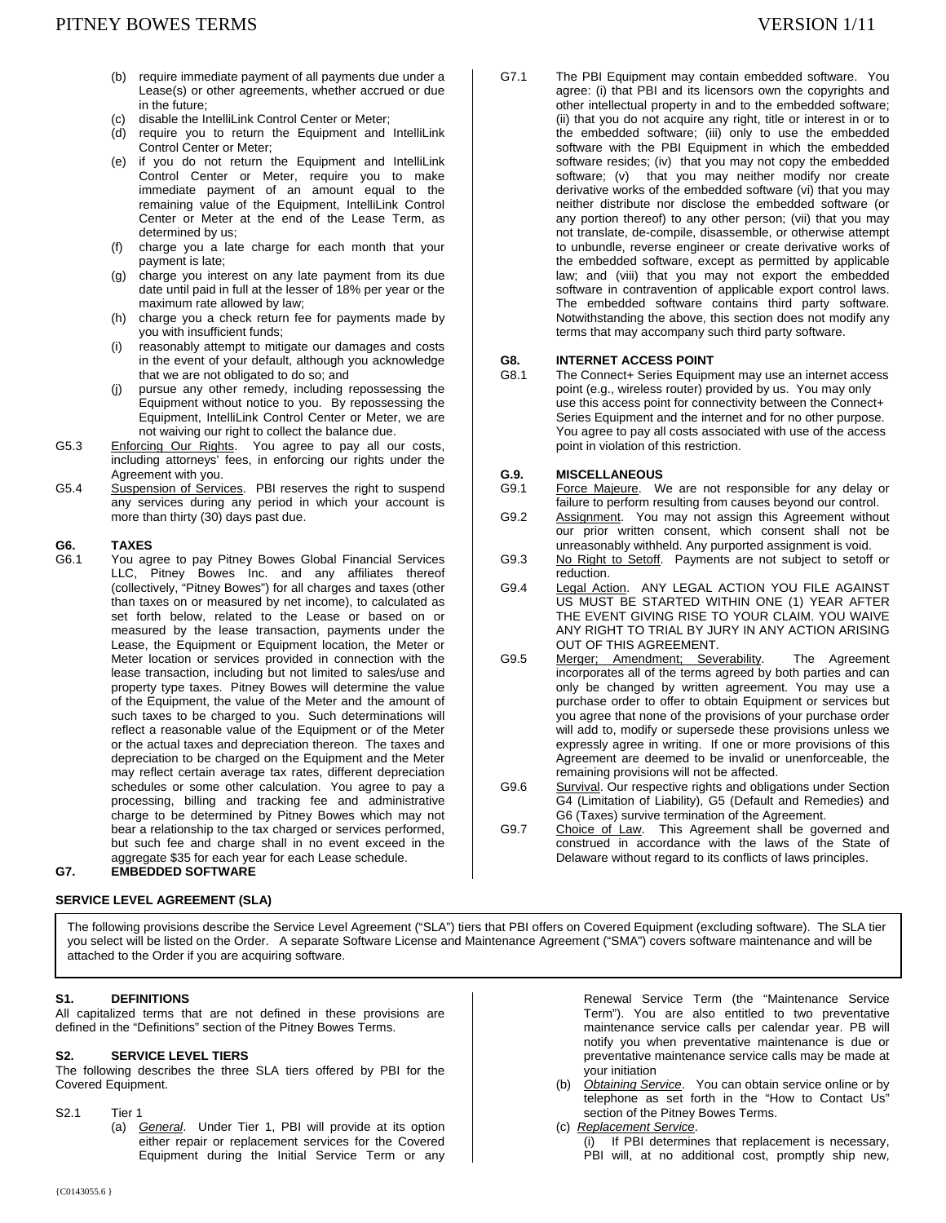- (b) require immediate payment of all payments due under a Lease(s) or other agreements, whether accrued or due in the future;
- (c) disable the IntelliLink Control Center or Meter;
- (d) require you to return the Equipment and IntelliLink Control Center or Meter;
- (e) if you do not return the Equipment and IntelliLink Control Center or Meter, require you to make immediate payment of an amount equal to the remaining value of the Equipment, IntelliLink Control Center or Meter at the end of the Lease Term, as determined by us;
- (f) charge you a late charge for each month that your payment is late;
- (g) charge you interest on any late payment from its due date until paid in full at the lesser of 18% per year or the maximum rate allowed by law;
- (h) charge you a check return fee for payments made by you with insufficient funds;
- (i) reasonably attempt to mitigate our damages and costs in the event of your default, although you acknowledge that we are not obligated to do so; and
- (j) pursue any other remedy, including repossessing the Equipment without notice to you. By repossessing the Equipment, IntelliLink Control Center or Meter, we are not waiving our right to collect the balance due.
- G5.3 Enforcing Our Rights. You agree to pay all our costs, including attorneys' fees, in enforcing our rights under the Agreement with you.
- G5.4 Suspension of Services. PBI reserves the right to suspend any services during any period in which your account is more than thirty (30) days past due.

# G6. **TAXES**<br>G6.1 You ag

You agree to pay Pitney Bowes Global Financial Services LLC, Pitney Bowes Inc. and any affiliates thereof (collectively, "Pitney Bowes") for all charges and taxes (other than taxes on or measured by net income), to calculated as set forth below, related to the Lease or based on or measured by the lease transaction, payments under the Lease, the Equipment or Equipment location, the Meter or Meter location or services provided in connection with the lease transaction, including but not limited to sales/use and property type taxes. Pitney Bowes will determine the value of the Equipment, the value of the Meter and the amount of such taxes to be charged to you. Such determinations will reflect a reasonable value of the Equipment or of the Meter or the actual taxes and depreciation thereon. The taxes and depreciation to be charged on the Equipment and the Meter may reflect certain average tax rates, different depreciation schedules or some other calculation. You agree to pay a processing, billing and tracking fee and administrative charge to be determined by Pitney Bowes which may not bear a relationship to the tax charged or services performed, but such fee and charge shall in no event exceed in the aggregate \$35 for each year for each Lease schedule.

## **G7. EMBEDDED SOFTWARE**

## **SERVICE LEVEL AGREEMENT (SLA)**

G7.1 The PBI Equipment may contain embedded software. You agree: (i) that PBI and its licensors own the copyrights and other intellectual property in and to the embedded software; (ii) that you do not acquire any right, title or interest in or to the embedded software; (iii) only to use the embedded software with the PBI Equipment in which the embedded software resides; (iv) that you may not copy the embedded software; (v) that you may neither modify nor create derivative works of the embedded software (vi) that you may neither distribute nor disclose the embedded software (or any portion thereof) to any other person; (vii) that you may not translate, de-compile, disassemble, or otherwise attempt to unbundle, reverse engineer or create derivative works of the embedded software, except as permitted by applicable law; and (viii) that you may not export the embedded software in contravention of applicable export control laws. The embedded software contains third party software. Notwithstanding the above, this section does not modify any terms that may accompany such third party software.

# **G8. INTERNET ACCESS POINT**<br>G8.1 The Connect+ Series Equipm

The Connect+ Series Equipment may use an internet access point (e.g., wireless router) provided by us. You may only use this access point for connectivity between the Connect+ Series Equipment and the internet and for no other purpose. You agree to pay all costs associated with use of the access point in violation of this restriction.

### **G.9. MISCELLANEOUS**

- G9.1 Force Majeure. We are not responsible for any delay or failure to perform resulting from causes beyond our control.
- G9.2 Assignment. You may not assign this Agreement without our prior written consent, which consent shall not be unreasonably withheld. Any purported assignment is void.
- G9.3 No Right to Setoff. Payments are not subject to setoff or reduction.
- G9.4 Legal Action. ANY LEGAL ACTION YOU FILE AGAINST US MUST BE STARTED WITHIN ONE (1) YEAR AFTER THE EVENT GIVING RISE TO YOUR CLAIM. YOU WAIVE ANY RIGHT TO TRIAL BY JURY IN ANY ACTION ARISING OUT OF THIS AGREEMENT.
- G9.5 Merger; Amendment; Severability. The Agreement incorporates all of the terms agreed by both parties and can only be changed by written agreement. You may use a purchase order to offer to obtain Equipment or services but you agree that none of the provisions of your purchase order will add to, modify or supersede these provisions unless we expressly agree in writing. If one or more provisions of this Agreement are deemed to be invalid or unenforceable, the remaining provisions will not be affected.
- G9.6 Survival. Our respective rights and obligations under Section G4 (Limitation of Liability), G5 (Default and Remedies) and G6 (Taxes) survive termination of the Agreement.
- G9.7 Choice of Law. This Agreement shall be governed and construed in accordance with the laws of the State of Delaware without regard to its conflicts of laws principles.

The following provisions describe the Service Level Agreement ("SLA") tiers that PBI offers on Covered Equipment (excluding software). The SLA tier you select will be listed on the Order. A separate Software License and Maintenance Agreement ("SMA") covers software maintenance and will be attached to the Order if you are acquiring software.

#### **S1. DEFINITIONS**

All capitalized terms that are not defined in these provisions are defined in the "Definitions" section of the Pitney Bowes Terms.

#### **S2. SERVICE LEVEL TIERS**

The following describes the three SLA tiers offered by PBI for the Covered Equipment.

S2.1 Tier 1

 (a) *General*. Under Tier 1, PBI will provide at its option either repair or replacement services for the Covered Equipment during the Initial Service Term or any

Renewal Service Term (the "Maintenance Service Term"). You are also entitled to two preventative maintenance service calls per calendar year. PB will notify you when preventative maintenance is due or preventative maintenance service calls may be made at your initiation

- (b) *Obtaining Service*. You can obtain service online or by telephone as set forth in the "How to Contact Us" section of the Pitney Bowes Terms.
- (c) *Replacement Service*.
	- (i) If PBI determines that replacement is necessary, PBI will, at no additional cost, promptly ship new,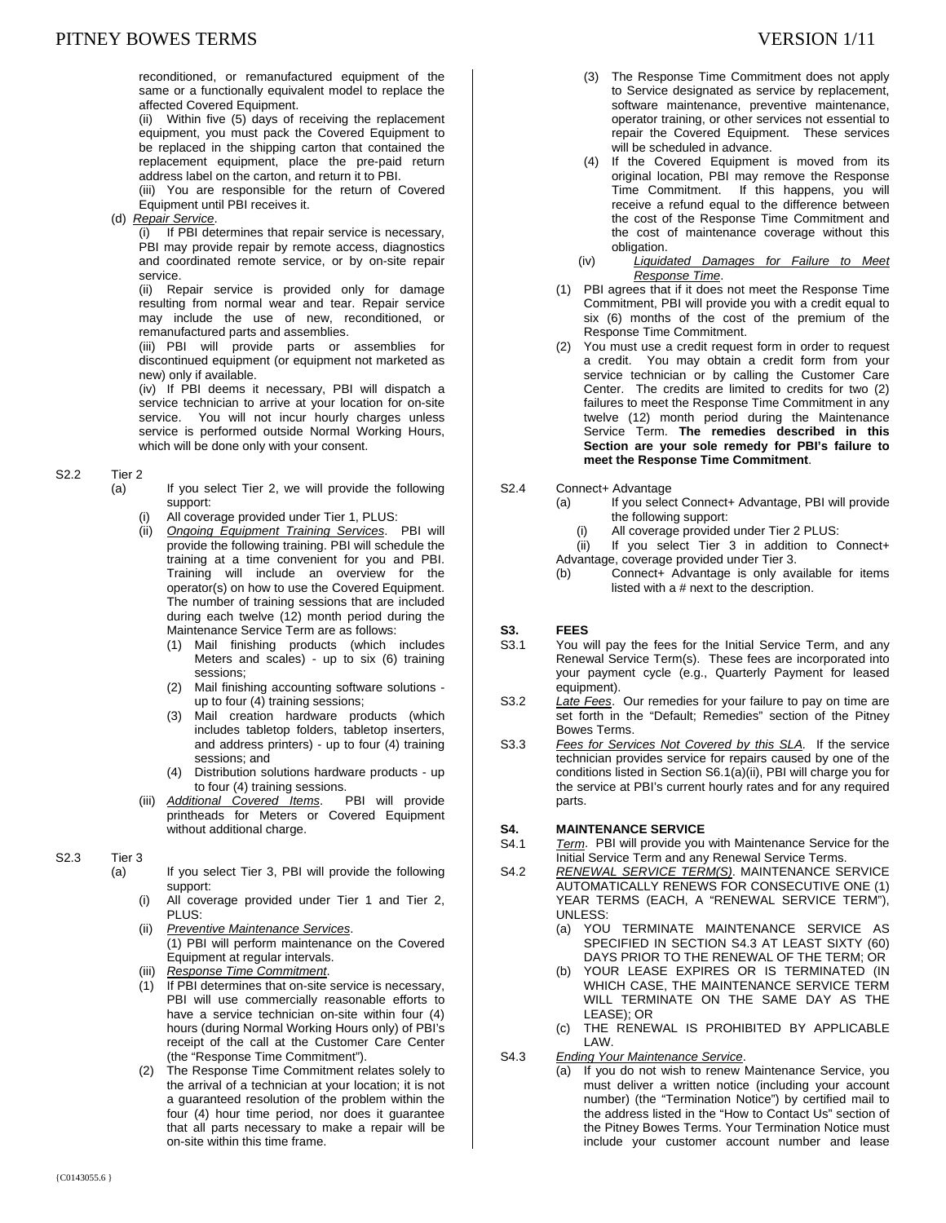reconditioned, or remanufactured equipment of the same or a functionally equivalent model to replace the affected Covered Equipment.

(ii) Within five (5) days of receiving the replacement equipment, you must pack the Covered Equipment to be replaced in the shipping carton that contained the replacement equipment, place the pre-paid return address label on the carton, and return it to PBI.

(iii) You are responsible for the return of Covered Equipment until PBI receives it.

(d) *Repair Service*.

(i) If PBI determines that repair service is necessary, PBI may provide repair by remote access, diagnostics and coordinated remote service, or by on-site repair service.

(ii) Repair service is provided only for damage resulting from normal wear and tear. Repair service may include the use of new, reconditioned, or remanufactured parts and assemblies.

(iii) PBI will provide parts or assemblies for discontinued equipment (or equipment not marketed as new) only if available.

(iv) If PBI deems it necessary, PBI will dispatch a service technician to arrive at your location for on-site service. You will not incur hourly charges unless service is performed outside Normal Working Hours, which will be done only with your consent.

#### S2.2 Tier 2

- (a) If you select Tier 2, we will provide the following support:
	- All coverage provided under Tier 1, PLUS:
	- (ii) *Ongoing Equipment Training Services*. PBI will provide the following training. PBI will schedule the training at a time convenient for you and PBI. Training will include an overview for the operator(s) on how to use the Covered Equipment. The number of training sessions that are included during each twelve (12) month period during the Maintenance Service Term are as follows:
		- (1) Mail finishing products (which includes Meters and scales) - up to six (6) training sessions;
		- (2) Mail finishing accounting software solutions up to four (4) training sessions;
		- (3) Mail creation hardware products (which includes tabletop folders, tabletop inserters, and address printers) - up to four (4) training sessions; and
		- (4) Distribution solutions hardware products up to four (4) training sessions.<br>tional Covered Items. PBI will provide
	- (iii) **Additional Covered Items.** printheads for Meters or Covered Equipment without additional charge.
- S2.3 Tier 3

(a) If you select Tier 3, PBI will provide the following support:

- (i) All coverage provided under Tier 1 and Tier 2, PLUS:
- (ii) *Preventive Maintenance Services*. (1) PBI will perform maintenance on the Covered Equipment at regular intervals.
- (iii) *Response Time Commitment*.
- (1) If PBI determines that on-site service is necessary, PBI will use commercially reasonable efforts to have a service technician on-site within four (4) hours (during Normal Working Hours only) of PBI's receipt of the call at the Customer Care Center (the "Response Time Commitment").
- (2) The Response Time Commitment relates solely to the arrival of a technician at your location; it is not a guaranteed resolution of the problem within the four (4) hour time period, nor does it guarantee that all parts necessary to make a repair will be on-site within this time frame.
- (3) The Response Time Commitment does not apply to Service designated as service by replacement, software maintenance, preventive maintenance, operator training, or other services not essential to repair the Covered Equipment. These services will be scheduled in advance.
- (4) If the Covered Equipment is moved from its original location, PBI may remove the Response Time Commitment. If this happens, you will receive a refund equal to the difference between the cost of the Response Time Commitment and the cost of maintenance coverage without this obligation.
- (iv) *Liquidated Damages for Failure to Meet Response Time*.
- (1) PBI agrees that if it does not meet the Response Time Commitment, PBI will provide you with a credit equal to six (6) months of the cost of the premium of the Response Time Commitment.
- (2) You must use a credit request form in order to request a credit. You may obtain a credit form from your service technician or by calling the Customer Care Center. The credits are limited to credits for two (2) failures to meet the Response Time Commitment in any twelve (12) month period during the Maintenance Service Term. **The remedies described in this Section are your sole remedy for PBI's failure to meet the Response Time Commitment**.

#### S2.4 Connect+ Advantage

- (a) If you select Connect+ Advantage, PBI will provide the following support:
	- (i) All coverage provided under Tier 2 PLUS:
- (ii) If you select Tier 3 in addition to Connect+ Advantage, coverage provided under Tier 3.
- (b) Connect+ Advantage is only available for items listed with a # next to the description.

# **S3. FEES**<br>S3.1 You w

- You will pay the fees for the Initial Service Term, and any Renewal Service Term(s). These fees are incorporated into your payment cycle (e.g., Quarterly Payment for leased equipment).
- S3.2 *Late Fees*. Our remedies for your failure to pay on time are set forth in the "Default; Remedies" section of the Pitney Bowes Terms.
- S3.3 *Fees for Services Not Covered by this SLA.* If the service technician provides service for repairs caused by one of the conditions listed in Section S6.1(a)(ii), PBI will charge you for the service at PBI's current hourly rates and for any required parts.

#### **S4. MAINTENANCE SERVICE**

- S4.1 *Term*. PBI will provide you with Maintenance Service for the Initial Service Term and any Renewal Service Terms.
- S4.2 *RENEWAL SERVICE TERM(S)*. MAINTENANCE SERVICE AUTOMATICALLY RENEWS FOR CONSECUTIVE ONE (1) YEAR TERMS (EACH, A "RENEWAL SERVICE TERM"), UNLESS:
	- (a) YOU TERMINATE MAINTENANCE SERVICE AS SPECIFIED IN SECTION S4.3 AT LEAST SIXTY (60) DAYS PRIOR TO THE RENEWAL OF THE TERM; OR
	- (b) YOUR LEASE EXPIRES OR IS TERMINATED (IN WHICH CASE, THE MAINTENANCE SERVICE TERM WILL TERMINATE ON THE SAME DAY AS THE LEASE); OR
	- (c) THE RENEWAL IS PROHIBITED BY APPLICABLE LAW.
- S4.3 *Ending Your Maintenance Service*.
	- (a) If you do not wish to renew Maintenance Service, you must deliver a written notice (including your account number) (the "Termination Notice") by certified mail to the address listed in the "How to Contact Us" section of the Pitney Bowes Terms. Your Termination Notice must include your customer account number and lease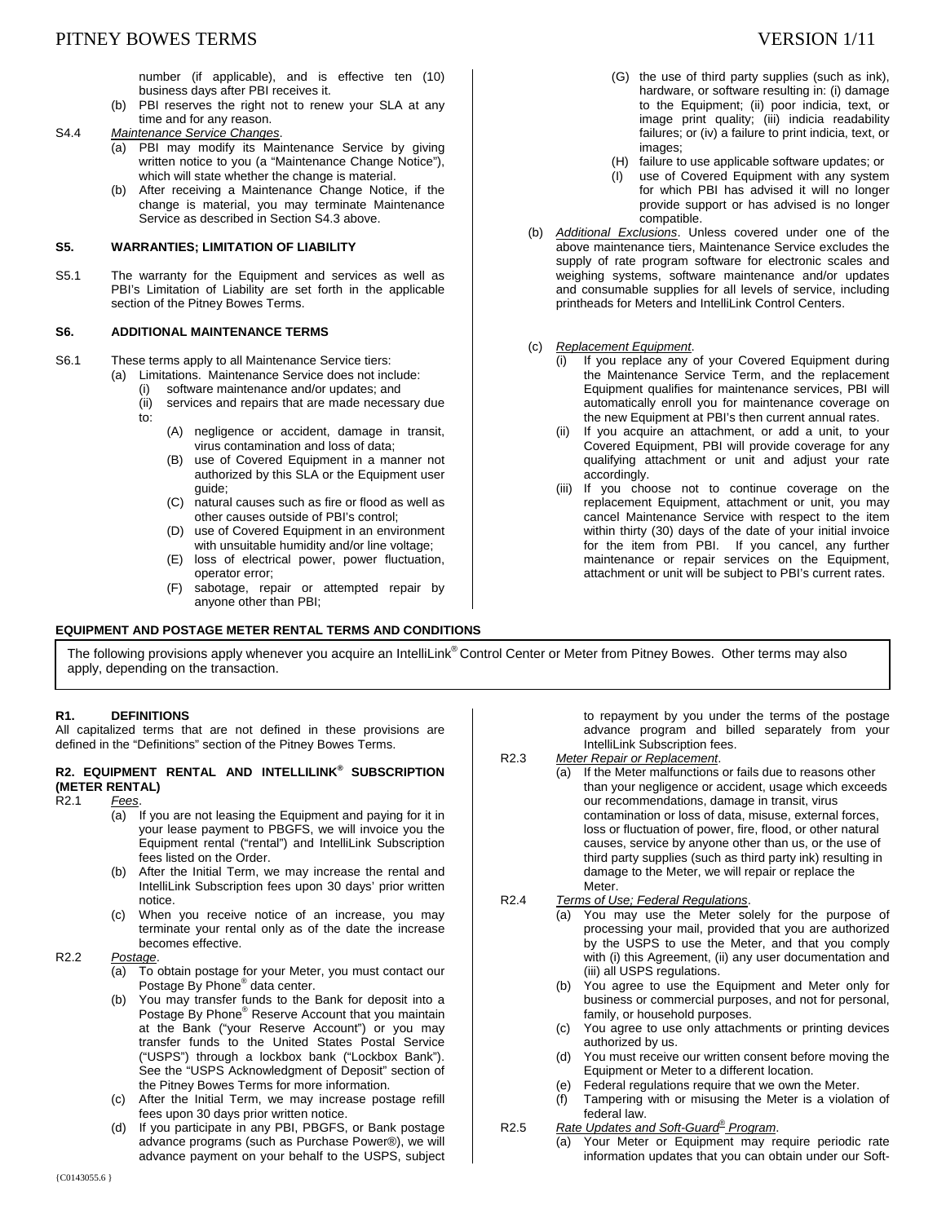number (if applicable), and is effective ten (10) business days after PBI receives it.

(b) PBI reserves the right not to renew your SLA at any time and for any reason.

S4.4 *Maintenance Service Changes*.

- (a) PBI may modify its Maintenance Service by giving written notice to you (a "Maintenance Change Notice"), which will state whether the change is material.
- (b) After receiving a Maintenance Change Notice, if the change is material, you may terminate Maintenance Service as described in Section S4.3 above.

#### **S5. WARRANTIES; LIMITATION OF LIABILITY**

S5.1 The warranty for the Equipment and services as well as PBI's Limitation of Liability are set forth in the applicable section of the Pitney Bowes Terms.

#### **S6. ADDITIONAL MAINTENANCE TERMS**

S6.1 These terms apply to all Maintenance Service tiers:

- (a) Limitations. Maintenance Service does not include:
	- (i) software maintenance and/or updates; and
	- (ii) services and repairs that are made necessary due to:
		- (A) negligence or accident, damage in transit, virus contamination and loss of data;
		- (B) use of Covered Equipment in a manner not authorized by this SLA or the Equipment user guide;
		- (C) natural causes such as fire or flood as well as other causes outside of PBI's control;
		- (D) use of Covered Equipment in an environment with unsuitable humidity and/or line voltage;
		- (E) loss of electrical power, power fluctuation, operator error;
		- (F) sabotage, repair or attempted repair by anyone other than PBI;

#### **EQUIPMENT AND POSTAGE METER RENTAL TERMS AND CONDITIONS**

#### (G) the use of third party supplies (such as ink), hardware, or software resulting in: (i) damage to the Equipment; (ii) poor indicia, text, or image print quality; (iii) indicia readability failures; or (iv) a failure to print indicia, text, or images;

- (H) failure to use applicable software updates; or
- (I) use of Covered Equipment with any system for which PBI has advised it will no longer provide support or has advised is no longer compatible.
- (b) *Additional Exclusions*. Unless covered under one of the above maintenance tiers, Maintenance Service excludes the supply of rate program software for electronic scales and weighing systems, software maintenance and/or updates and consumable supplies for all levels of service, including printheads for Meters and IntelliLink Control Centers.

### (c) *Replacement Equipment*.

- (i) If you replace any of your Covered Equipment during the Maintenance Service Term, and the replacement Equipment qualifies for maintenance services, PBI will automatically enroll you for maintenance coverage on the new Equipment at PBI's then current annual rates.
- (ii) If you acquire an attachment, or add a unit, to your Covered Equipment, PBI will provide coverage for any qualifying attachment or unit and adjust your rate accordingly.
- (iii) If you choose not to continue coverage on the replacement Equipment, attachment or unit, you may cancel Maintenance Service with respect to the item within thirty (30) days of the date of your initial invoice for the item from PBI. If you cancel, any further maintenance or repair services on the Equipment, attachment or unit will be subject to PBI's current rates.

The following provisions apply whenever you acquire an IntelliLink® Control Center or Meter from Pitney Bowes. Other terms may also apply, depending on the transaction.

#### **R1. DEFINITIONS**

All capitalized terms that are not defined in these provisions are defined in the "Definitions" section of the Pitney Bowes Terms.

# **R2. EQUIPMENT RENTAL AND INTELLILINK® SUBSCRIPTION (METER RENTAL)**

Fees.

- $(a)$  If you are not leasing the Equipment and paying for it in your lease payment to PBGFS, we will invoice you the Equipment rental ("rental") and IntelliLink Subscription fees listed on the Order.
- (b) After the Initial Term, we may increase the rental and IntelliLink Subscription fees upon 30 days' prior written notice.
- (c) When you receive notice of an increase, you may terminate your rental only as of the date the increase becomes effective.

#### R2.2 *Postage*.

- (a) To obtain postage for your Meter, you must contact our Postage By Phone<sup>®</sup> data center.
- (b) You may transfer funds to the Bank for deposit into a Postage By Phone® Reserve Account that you maintain at the Bank ("your Reserve Account") or you may transfer funds to the United States Postal Service ("USPS") through a lockbox bank ("Lockbox Bank"). See the "USPS Acknowledgment of Deposit" section of the Pitney Bowes Terms for more information.
- (c) After the Initial Term, we may increase postage refill fees upon 30 days prior written notice.
- (d) If you participate in any PBI, PBGFS, or Bank postage advance programs (such as Purchase Power®), we will advance payment on your behalf to the USPS, subject

to repayment by you under the terms of the postage advance program and billed separately from your IntelliLink Subscription fees.

- R2.3 *Meter Repair or Replacement*. (a) If the Meter malfunctions or fails due to reasons other than your negligence or accident, usage which exceeds our recommendations, damage in transit, virus contamination or loss of data, misuse, external forces, loss or fluctuation of power, fire, flood, or other natural causes, service by anyone other than us, or the use of third party supplies (such as third party ink) resulting in damage to the Meter, we will repair or replace the Meter.
- R2.4 *Terms of Use; Federal Regulations*.
	- (a) You may use the Meter solely for the purpose of processing your mail, provided that you are authorized by the USPS to use the Meter, and that you comply with (i) this Agreement, (ii) any user documentation and (iii) all USPS regulations.
	- (b) You agree to use the Equipment and Meter only for business or commercial purposes, and not for personal, family, or household purposes.
	- (c) You agree to use only attachments or printing devices authorized by us.
	- (d) You must receive our written consent before moving the Equipment or Meter to a different location.
	- (e) Federal regulations require that we own the Meter.
	- (f) Tampering with or misusing the Meter is a violation of federal law.
- R2.5 *Rate Updates and Soft-Guard® Program*.
	- (a) Your Meter or Equipment may require periodic rate information updates that you can obtain under our Soft-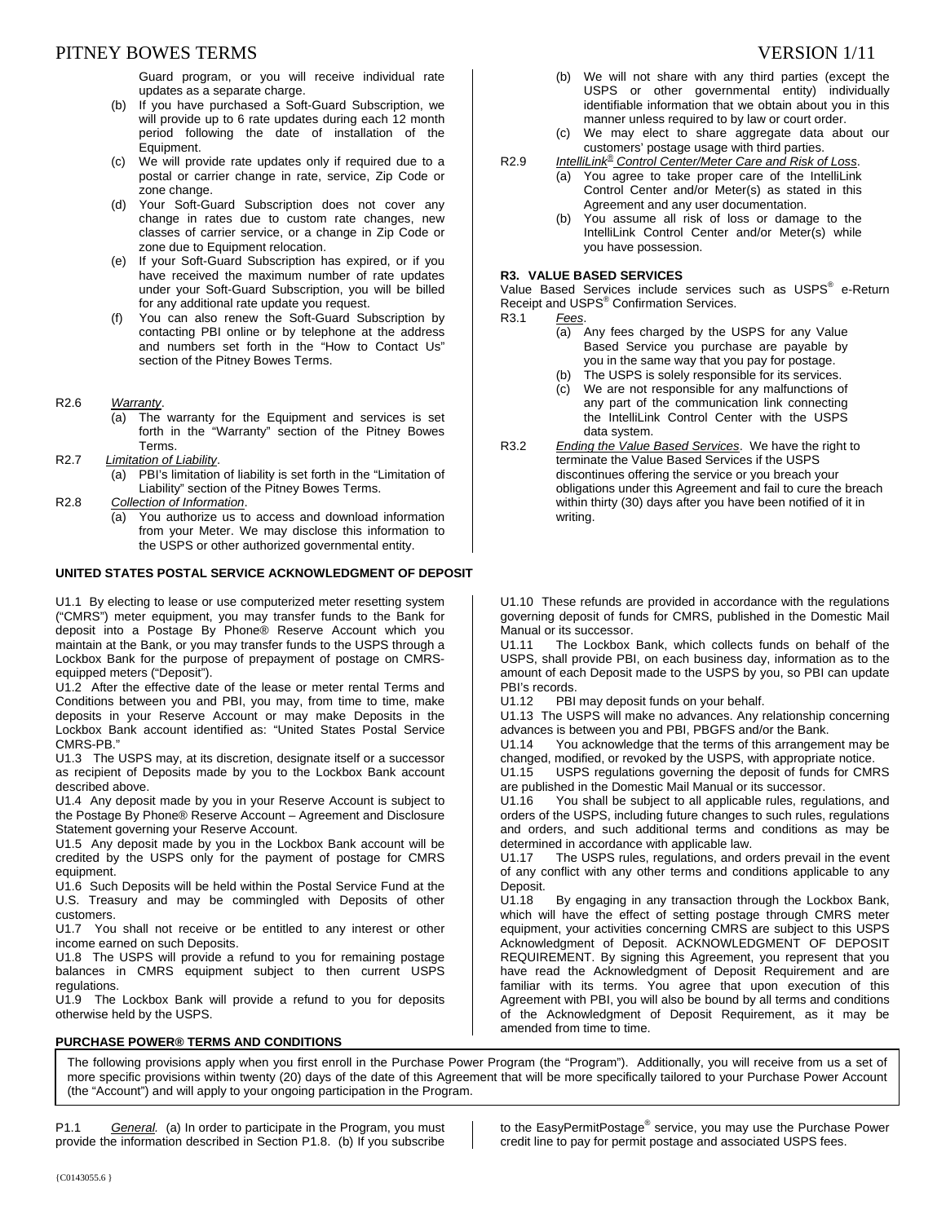## PITNEY BOWES TERMS TERMS TERMS TERMS TERMS TERMS TERMS TERMS TERMS TERMS TERMS TERMS TERMS TERMS TERMS TERMS TE

Guard program, or you will receive individual rate updates as a separate charge.

- (b) If you have purchased a Soft-Guard Subscription, we will provide up to 6 rate updates during each 12 month period following the date of installation of the Equipment.
- (c) We will provide rate updates only if required due to a postal or carrier change in rate, service, Zip Code or zone change.
- (d) Your Soft-Guard Subscription does not cover any change in rates due to custom rate changes, new classes of carrier service, or a change in Zip Code or zone due to Equipment relocation.
- (e) If your Soft-Guard Subscription has expired, or if you have received the maximum number of rate updates under your Soft-Guard Subscription, you will be billed for any additional rate update you request.
- (f) You can also renew the Soft-Guard Subscription by contacting PBI online or by telephone at the address and numbers set forth in the "How to Contact Us" section of the Pitney Bowes Terms.
- R2.6 *Warranty*.
	- (a) The warranty for the Equipment and services is set forth in the "Warranty" section of the Pitney Bowes Terms.
- R2.7 *Limitation of Liability*.
	- (a) PBI's limitation of liability is set forth in the "Limitation of Liability" section of the Pitney Bowes Terms.
- R2.8 *Collection of Information*.
	- (a) You authorize us to access and download information from your Meter. We may disclose this information to the USPS or other authorized governmental entity.

#### **UNITED STATES POSTAL SERVICE ACKNOWLEDGMENT OF DEPOSIT**

U1.1 By electing to lease or use computerized meter resetting system ("CMRS") meter equipment, you may transfer funds to the Bank for deposit into a Postage By Phone® Reserve Account which you maintain at the Bank, or you may transfer funds to the USPS through a Lockbox Bank for the purpose of prepayment of postage on CMRSequipped meters ("Deposit").

U1.2 After the effective date of the lease or meter rental Terms and Conditions between you and PBI, you may, from time to time, make deposits in your Reserve Account or may make Deposits in the Lockbox Bank account identified as: "United States Postal Service CMRS-PB."

U1.3 The USPS may, at its discretion, designate itself or a successor as recipient of Deposits made by you to the Lockbox Bank account described above.

U1.4 Any deposit made by you in your Reserve Account is subject to the Postage By Phone® Reserve Account – Agreement and Disclosure Statement governing your Reserve Account.

U1.5 Any deposit made by you in the Lockbox Bank account will be credited by the USPS only for the payment of postage for CMRS equipment.

U1.6 Such Deposits will be held within the Postal Service Fund at the U.S. Treasury and may be commingled with Deposits of other customers.

U1.7 You shall not receive or be entitled to any interest or other income earned on such Deposits.

U1.8 The USPS will provide a refund to you for remaining postage balances in CMRS equipment subject to then current USPS regulations.

U1.9 The Lockbox Bank will provide a refund to you for deposits otherwise held by the USPS.

#### **PURCHASE POWER® TERMS AND CONDITIONS**

- (b) We will not share with any third parties (except the USPS or other governmental entity) individually identifiable information that we obtain about you in this manner unless required to by law or court order.
- (c) We may elect to share aggregate data about our customers' postage usage with third parties.
- R2.9 *IntelliLink® Control Center/Meter Care and Risk of Loss*.
	- (a) You agree to take proper care of the IntelliLink Control Center and/or Meter(s) as stated in this Agreement and any user documentation.
		- (b) You assume all risk of loss or damage to the IntelliLink Control Center and/or Meter(s) while you have possession.

#### **R3. VALUE BASED SERVICES**

Value Based Services include services such as USPS<sup>®</sup> e-Return Receipt and USPS<sup>®</sup> Confirmation Services.

- R3.1 *Fees*.
	- (a) Any fees charged by the USPS for any Value Based Service you purchase are payable by you in the same way that you pay for postage.
	- (b) The USPS is solely responsible for its services.
	- (c) We are not responsible for any malfunctions of any part of the communication link connecting the IntelliLink Control Center with the USPS data system.
- R3.2 *Ending the Value Based Services*. We have the right to terminate the Value Based Services if the USPS discontinues offering the service or you breach your obligations under this Agreement and fail to cure the breach within thirty (30) days after you have been notified of it in writing.

U1.10 These refunds are provided in accordance with the regulations governing deposit of funds for CMRS, published in the Domestic Mail Manual or its successor.<br>U1111 The Lockbox

The Lockbox Bank, which collects funds on behalf of the USPS, shall provide PBI, on each business day, information as to the amount of each Deposit made to the USPS by you, so PBI can update PBI's records.

U1.12 PBI may deposit funds on your behalf.

U1.13 The USPS will make no advances. Any relationship concerning advances is between you and PBI, PBGFS and/or the Bank.

U1.14 You acknowledge that the terms of this arrangement may be

changed, modified, or revoked by the USPS, with appropriate notice.<br>U1.15 USPS regulations governing the deposit of funds for CMF USPS regulations governing the deposit of funds for CMRS are published in the Domestic Mail Manual or its successor.

U1.16 You shall be subject to all applicable rules, regulations, and orders of the USPS, including future changes to such rules, regulations and orders, and such additional terms and conditions as may be determined in accordance with applicable law.

U1.17 The USPS rules, regulations, and orders prevail in the event of any conflict with any other terms and conditions applicable to any Deposit.

U1.18 By engaging in any transaction through the Lockbox Bank, which will have the effect of setting postage through CMRS meter equipment, your activities concerning CMRS are subject to this USPS Acknowledgment of Deposit. ACKNOWLEDGMENT OF DEPOSIT REQUIREMENT. By signing this Agreement, you represent that you have read the Acknowledgment of Deposit Requirement and are familiar with its terms. You agree that upon execution of this Agreement with PBI, you will also be bound by all terms and conditions of the Acknowledgment of Deposit Requirement, as it may be amended from time to time.

The following provisions apply when you first enroll in the Purchase Power Program (the "Program"). Additionally, you will receive from us a set of more specific provisions within twenty (20) days of the date of this Agreement that will be more specifically tailored to your Purchase Power Account (the "Account") and will apply to your ongoing participation in the Program.

P1.1 *General.* (a) In order to participate in the Program, you must provide the information described in Section P1.8. (b) If you subscribe to the EasyPermitPostage® service, you may use the Purchase Power credit line to pay for permit postage and associated USPS fees.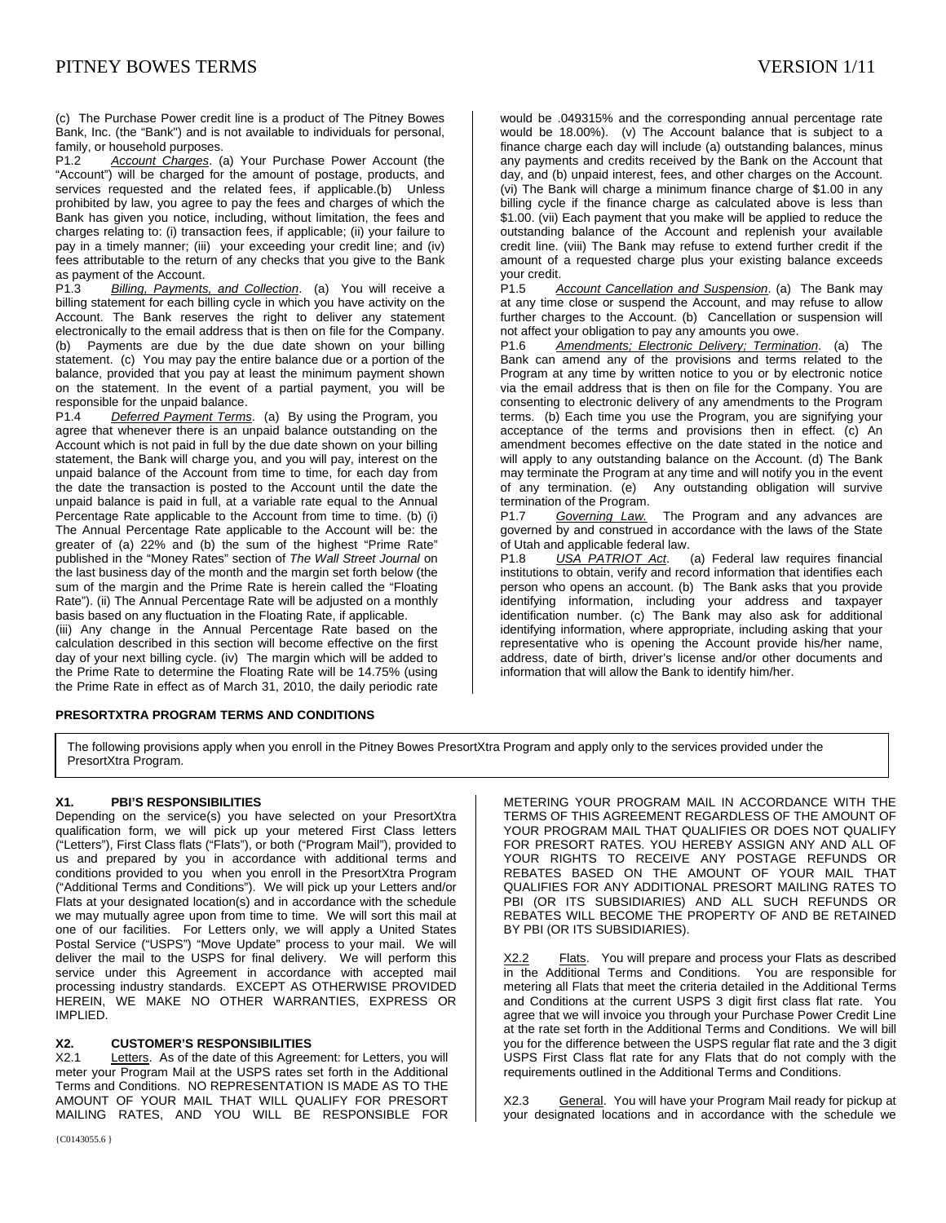(c) The Purchase Power credit line is a product of The Pitney Bowes Bank, Inc. (the "Bank") and is not available to individuals for personal, family, or household purposes.

P1.2 *Account Charges*. (a) Your Purchase Power Account (the "Account") will be charged for the amount of postage, products, and services requested and the related fees, if applicable.(b) Unless prohibited by law, you agree to pay the fees and charges of which the Bank has given you notice, including, without limitation, the fees and charges relating to: (i) transaction fees, if applicable; (ii) your failure to pay in a timely manner; (iii) your exceeding your credit line; and (iv) fees attributable to the return of any checks that you give to the Bank as payment of the Account.

P1.3 *Billing, Payments, and Collection*. (a) You will receive a billing statement for each billing cycle in which you have activity on the Account. The Bank reserves the right to deliver any statement electronically to the email address that is then on file for the Company. (b) Payments are due by the due date shown on your billing statement. (c) You may pay the entire balance due or a portion of the balance, provided that you pay at least the minimum payment shown on the statement. In the event of a partial payment, you will be responsible for the unpaid balance.<br>P1.4 Deferred Payment Terms

**Deferred Payment Terms.** (a) By using the Program, you agree that whenever there is an unpaid balance outstanding on the Account which is not paid in full by the due date shown on your billing statement, the Bank will charge you, and you will pay, interest on the unpaid balance of the Account from time to time, for each day from the date the transaction is posted to the Account until the date the unpaid balance is paid in full, at a variable rate equal to the Annual Percentage Rate applicable to the Account from time to time. (b) (i) The Annual Percentage Rate applicable to the Account will be: the greater of (a) 22% and (b) the sum of the highest "Prime Rate" published in the "Money Rates" section of *The Wall Street Journal* on the last business day of the month and the margin set forth below (the sum of the margin and the Prime Rate is herein called the "Floating Rate"). (ii) The Annual Percentage Rate will be adjusted on a monthly basis based on any fluctuation in the Floating Rate, if applicable.

(iii) Any change in the Annual Percentage Rate based on the calculation described in this section will become effective on the first day of your next billing cycle. (iv) The margin which will be added to the Prime Rate to determine the Floating Rate will be 14.75% (using the Prime Rate in effect as of March 31, 2010, the daily periodic rate

would be .049315% and the corresponding annual percentage rate would be 18.00%). (v) The Account balance that is subject to a finance charge each day will include (a) outstanding balances, minus any payments and credits received by the Bank on the Account that day, and (b) unpaid interest, fees, and other charges on the Account. (vi) The Bank will charge a minimum finance charge of \$1.00 in any billing cycle if the finance charge as calculated above is less than \$1.00. (vii) Each payment that you make will be applied to reduce the outstanding balance of the Account and replenish your available credit line. (viii) The Bank may refuse to extend further credit if the amount of a requested charge plus your existing balance exceeds your credit.

P1.5 *Account Cancellation and Suspension*. (a) The Bank may at any time close or suspend the Account, and may refuse to allow further charges to the Account. (b) Cancellation or suspension will not affect your obligation to pay any amounts you owe.

P1.6 *Amendments; Electronic Delivery; Termination*. (a) The Bank can amend any of the provisions and terms related to the Program at any time by written notice to you or by electronic notice via the email address that is then on file for the Company. You are consenting to electronic delivery of any amendments to the Program terms. (b) Each time you use the Program, you are signifying your acceptance of the terms and provisions then in effect. (c) An amendment becomes effective on the date stated in the notice and will apply to any outstanding balance on the Account. (d) The Bank may terminate the Program at any time and will notify you in the event of any termination. (e) Any outstanding obligation will survive termination of the Program.<br>P1.7 Governing Law.

The Program and any advances are governed by and construed in accordance with the laws of the State of Utah and applicable federal law.

P1.8 *USA PATRIOT Act*. (a) Federal law requires financial institutions to obtain, verify and record information that identifies each person who opens an account. (b) The Bank asks that you provide identifying information, including your address and taxpayer identification number. (c) The Bank may also ask for additional identifying information, where appropriate, including asking that your representative who is opening the Account provide his/her name, address, date of birth, driver's license and/or other documents and information that will allow the Bank to identify him/her.

## **PRESORTXTRA PROGRAM TERMS AND CONDITIONS**

The following provisions apply when you enroll in the Pitney Bowes PresortXtra Program and apply only to the services provided under the PresortXtra Program.

#### **X1. PBI'S RESPONSIBILITIES**

Depending on the service(s) you have selected on your PresortXtra qualification form, we will pick up your metered First Class letters ("Letters"), First Class flats ("Flats"), or both ("Program Mail"), provided to us and prepared by you in accordance with additional terms and conditions provided to you when you enroll in the PresortXtra Program ("Additional Terms and Conditions"). We will pick up your Letters and/or Flats at your designated location(s) and in accordance with the schedule we may mutually agree upon from time to time. We will sort this mail at one of our facilities. For Letters only, we will apply a United States Postal Service ("USPS") "Move Update" process to your mail. We will deliver the mail to the USPS for final delivery. We will perform this service under this Agreement in accordance with accepted mail processing industry standards. EXCEPT AS OTHERWISE PROVIDED HEREIN, WE MAKE NO OTHER WARRANTIES, EXPRESS OR IMPLIED.

#### **X2. CUSTOMER'S RESPONSIBILITIES**

X2.1 Letters. As of the date of this Agreement: for Letters, you will meter your Program Mail at the USPS rates set forth in the Additional Terms and Conditions. NO REPRESENTATION IS MADE AS TO THE AMOUNT OF YOUR MAIL THAT WILL QUALIFY FOR PRESORT MAILING RATES, AND YOU WILL BE RESPONSIBLE FOR METERING YOUR PROGRAM MAIL IN ACCORDANCE WITH THE TERMS OF THIS AGREEMENT REGARDLESS OF THE AMOUNT OF YOUR PROGRAM MAIL THAT QUALIFIES OR DOES NOT QUALIFY FOR PRESORT RATES. YOU HEREBY ASSIGN ANY AND ALL OF YOUR RIGHTS TO RECEIVE ANY POSTAGE REFUNDS OR REBATES BASED ON THE AMOUNT OF YOUR MAIL THAT QUALIFIES FOR ANY ADDITIONAL PRESORT MAILING RATES TO PBI (OR ITS SUBSIDIARIES) AND ALL SUCH REFUNDS OR REBATES WILL BECOME THE PROPERTY OF AND BE RETAINED BY PBI (OR ITS SUBSIDIARIES).

X2.2 Flats. You will prepare and process your Flats as described in the Additional Terms and Conditions. You are responsible for metering all Flats that meet the criteria detailed in the Additional Terms and Conditions at the current USPS 3 digit first class flat rate. You agree that we will invoice you through your Purchase Power Credit Line at the rate set forth in the Additional Terms and Conditions. We will bill you for the difference between the USPS regular flat rate and the 3 digit USPS First Class flat rate for any Flats that do not comply with the requirements outlined in the Additional Terms and Conditions.

X2.3 General. You will have your Program Mail ready for pickup at your designated locations and in accordance with the schedule we